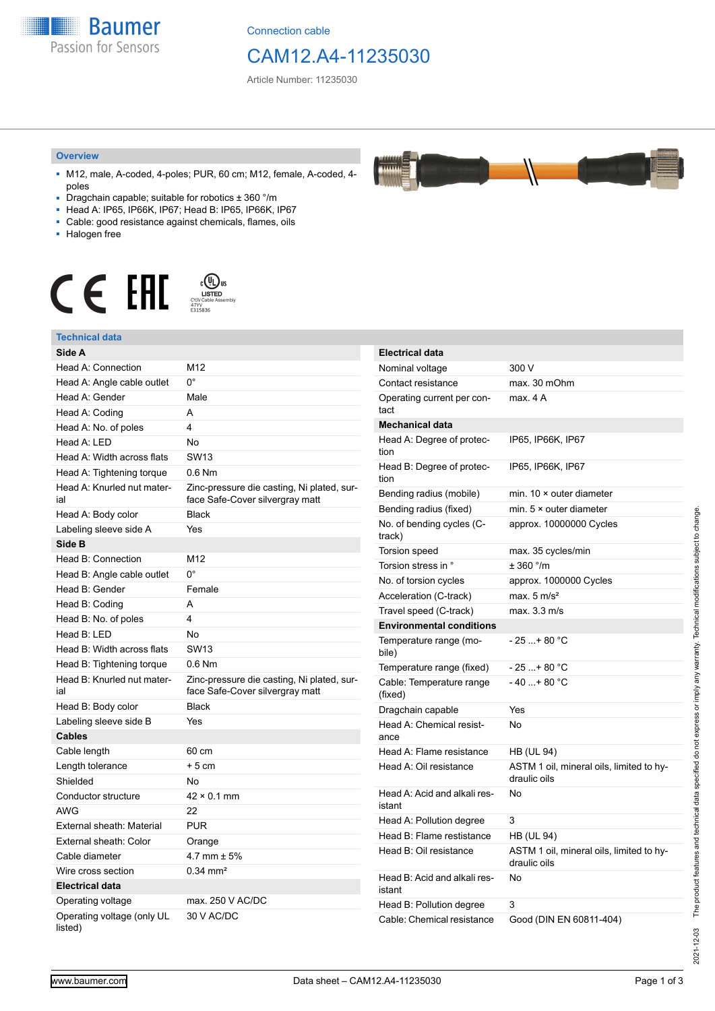**Baumer** Passion for Sensors

Connection cable

# CAM12.A4-11235030

Article Number: 11235030

#### **Overview**

- M12, male, A-coded, 4-poles; PUR, 60 cm; M12, female, A-coded, 4 poles
- Dragchain capable; suitable for robotics ± 360 °/m
- Head A: IP65, IP66K, IP67; Head B: IP65, IP66K, IP67
- Cable: good resistance against chemicals, flames, oils
- Halogen free



## **Technical data**

| Side A                                |                                                                               | <b>Electrical data</b>                 |                                          |
|---------------------------------------|-------------------------------------------------------------------------------|----------------------------------------|------------------------------------------|
| Head A: Connection                    | M12                                                                           | Nominal voltage                        | 300 V                                    |
| Head A: Angle cable outlet            | $0^{\circ}$                                                                   | Contact resistance                     | max. 30 mOhm                             |
| Head A: Gender                        | Male                                                                          | Operating current per con-             | max. 4 A                                 |
| Head A: Coding                        | A                                                                             | tact                                   |                                          |
| Head A: No. of poles                  | 4                                                                             | <b>Mechanical data</b>                 |                                          |
| Head A: LED                           | No                                                                            | Head A: Degree of protec-              | IP65, IP66K, IP67                        |
| Head A: Width across flats            | <b>SW13</b>                                                                   | tion                                   |                                          |
| Head A: Tightening torque             | $0.6$ Nm                                                                      | Head B: Degree of protec-<br>tion      | IP65, IP66K, IP67                        |
| Head A: Knurled nut mater-<br>ial     | Zinc-pressure die casting, Ni plated, sur-<br>face Safe-Cover silvergray matt | Bending radius (mobile)                | min. $10 \times$ outer diameter          |
| Head A: Body color                    | <b>Black</b>                                                                  | Bending radius (fixed)                 | min. $5 \times$ outer diameter           |
| Labeling sleeve side A                | Yes                                                                           | No. of bending cycles (C-<br>track)    | approx. 10000000 Cycles                  |
| Side B                                |                                                                               | <b>Torsion speed</b>                   | max. 35 cycles/min                       |
| Head B: Connection                    | M12                                                                           | Torsion stress in °                    | $± 360$ $^{\circ}/m$                     |
| Head B: Angle cable outlet            | $0^{\circ}$                                                                   | No. of torsion cycles                  | approx. 1000000 Cycles                   |
| Head B: Gender                        | Female                                                                        | Acceleration (C-track)                 | max. $5 \text{ m/s}^2$                   |
| Head B: Coding                        | A                                                                             | Travel speed (C-track)                 | max. 3.3 m/s                             |
| Head B: No. of poles                  | 4                                                                             | <b>Environmental conditions</b>        |                                          |
| Head B: LED                           | No                                                                            | Temperature range (mo-<br>bile)        | $-25$ + 80 °C                            |
| Head B: Width across flats            | <b>SW13</b>                                                                   |                                        |                                          |
| Head B: Tightening torque             | 0.6 Nm                                                                        | Temperature range (fixed)              | $-25+80 °C$                              |
| Head B: Knurled nut mater-<br>ial     | Zinc-pressure die casting, Ni plated, sur-<br>face Safe-Cover silvergray matt | Cable: Temperature range<br>(fixed)    | $-40+80$ °C                              |
| Head B: Body color                    | Black                                                                         | Dragchain capable                      | Yes                                      |
| Labeling sleeve side B                | Yes                                                                           | Head A: Chemical resist-<br>ance       | No                                       |
| <b>Cables</b>                         |                                                                               |                                        |                                          |
| Cable length                          | 60 cm                                                                         | Head A: Flame resistance               | <b>HB (UL 94)</b>                        |
| Length tolerance                      | $+5$ cm                                                                       | Head A: Oil resistance                 | ASTM 1 oil, mineral oils, limited to hy- |
| Shielded                              | No                                                                            |                                        | draulic oils                             |
| Conductor structure                   | $42 \times 0.1$ mm                                                            | Head A: Acid and alkali res-<br>istant | No                                       |
| <b>AWG</b>                            | 22                                                                            | Head A: Pollution degree               | 3                                        |
| External sheath: Material             | <b>PUR</b>                                                                    | Head B: Flame restistance              | <b>HB (UL 94)</b>                        |
| External sheath: Color                | Orange                                                                        | Head B: Oil resistance                 | ASTM 1 oil, mineral oils, limited to hy- |
| Cable diameter                        | 4.7 mm $\pm$ 5%                                                               |                                        | draulic oils                             |
| Wire cross section                    | $0.34 \, \text{mm}^2$                                                         | Head B: Acid and alkali res-<br>istant | No                                       |
| <b>Electrical data</b>                |                                                                               |                                        |                                          |
| Operating voltage                     | max. 250 V AC/DC                                                              | Head B: Pollution degree               | 3                                        |
| Operating voltage (only UL<br>listed) | 30 V AC/DC                                                                    | Cable: Chemical resistance             | Good (DIN EN 60811-404)                  |

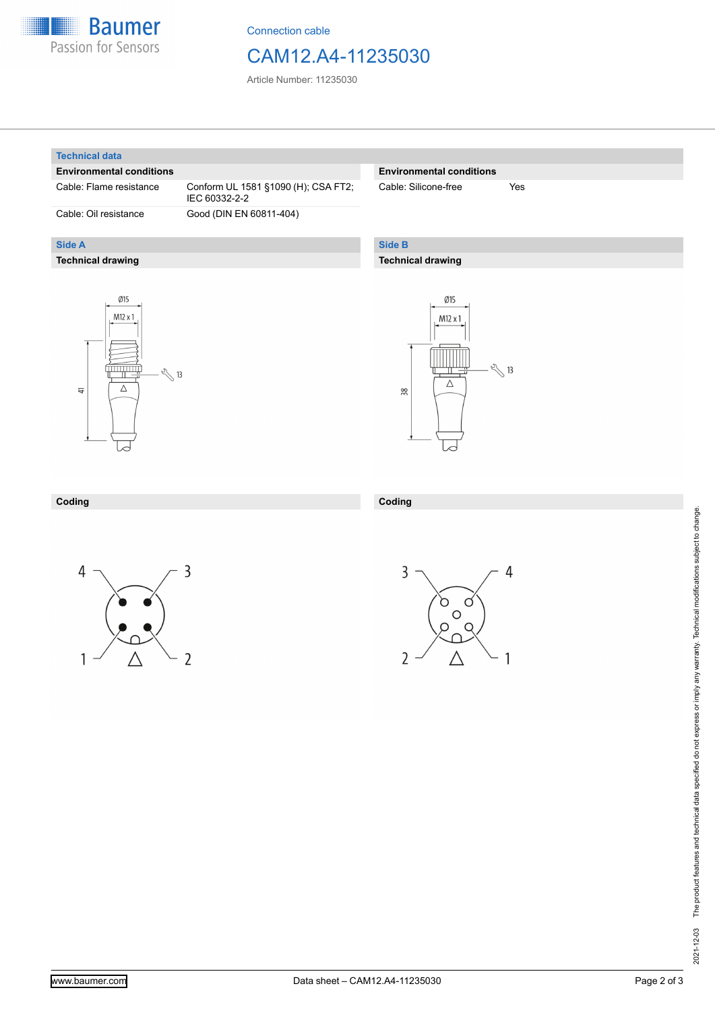

Connection cable

## CAM12.A4-11235030

Article Number: 11235030

#### **Technical data**

**Side A**

### **Environmental conditions**

**Technical drawing**

Cable: Flame resistance Conform UL 1581 §1090 (H); CSA FT2; IEC 60332-2-2 Cable: Oil resistance Good (DIN EN 60811-404)

### **Environmental conditions**

Cable: Silicone-free Yes

## **Side B**

## **Technical drawing**





#### **Coding**





**Coding**